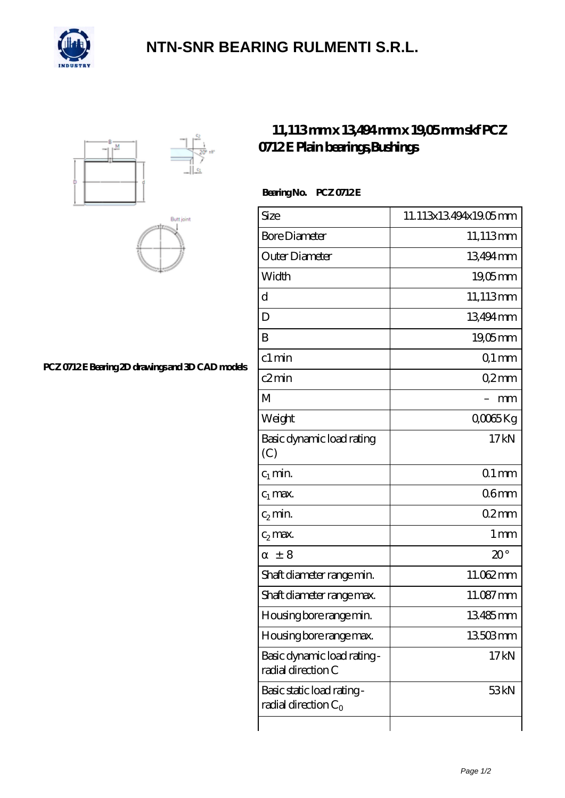

## **[NTN-SNR BEARING RULMENTI S.R.L.](https://m.confidencemenimprov.com)**





**[PCZ 0712 E Bearing 2D drawings and 3D CAD models](https://m.confidencemenimprov.com/pic-64974574.html)**

## **[11,113 mm x 13,494 mm x 19,05 mm skf PCZ](https://m.confidencemenimprov.com/au-64974574-skf-pcz-0712-e-plain-bearings-bushings.html) [0712 E Plain bearings,Bushings](https://m.confidencemenimprov.com/au-64974574-skf-pcz-0712-e-plain-bearings-bushings.html)**

Bearing No. PCZ 0712E

| Size                                                 | 11.113x13494x19.05mm |
|------------------------------------------------------|----------------------|
| <b>Bore Diameter</b>                                 | 11,113mm             |
| Outer Diameter                                       | 13494mm              |
| Width                                                | 1905mm               |
| d                                                    | 11,113mm             |
| D                                                    | 13494mm              |
| B                                                    | 19,05mm              |
| $c1$ min                                             | $Q1$ mm              |
| c2min                                                | Q2mm                 |
| M                                                    | mm                   |
| Weight                                               | QOO65Kg              |
| Basic dynamic load rating<br>(C)                     | 17kN                 |
| $c_1$ min.                                           | $Q1$ mm              |
| $c_1$ max.                                           | 06 <sub>mm</sub>     |
| $c_2$ min.                                           | 02mm                 |
| $c_2$ max.                                           | 1 <sub>mm</sub>      |
| ± 8                                                  | $20^{\circ}$         |
| Shaft diameter range min.                            | 11.062mm             |
| Shaft diameter range max.                            | 11.087mm             |
| Housing bore range min.                              | 13485mm              |
| Housing bore range max.                              | 13503mm              |
| Basic dynamic load rating-<br>radial direction C     | 17 <sub>kN</sub>     |
| Basic static load rating -<br>radial direction $C_0$ | 53 <sub>kN</sub>     |
|                                                      |                      |